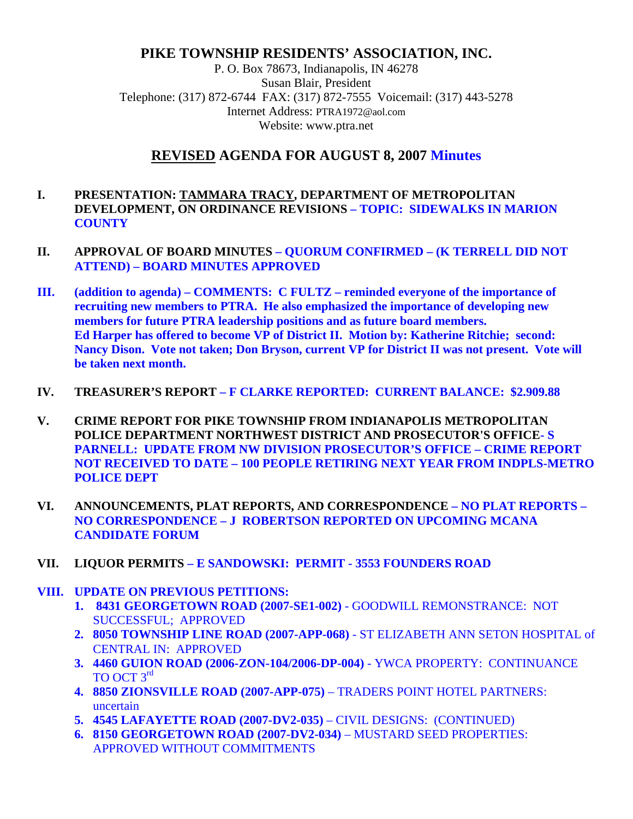# **PIKE TOWNSHIP RESIDENTS' ASSOCIATION, INC.**

P. O. Box 78673, Indianapolis, IN 46278 Susan Blair, President Telephone: (317) 872-6744 FAX: (317) 872-7555 Voicemail: (317) 443-5278 Internet Address: PTRA1972@aol.com Website: www.ptra.net

# **REVISED AGENDA FOR AUGUST 8, 2007 Minutes**

#### **I. PRESENTATION: TAMMARA TRACY, DEPARTMENT OF METROPOLITAN DEVELOPMENT, ON ORDINANCE REVISIONS – TOPIC: SIDEWALKS IN MARION COUNTY**

- **II. APPROVAL OF BOARD MINUTES QUORUM CONFIRMED (K TERRELL DID NOT ATTEND) – BOARD MINUTES APPROVED**
- **III. (addition to agenda) COMMENTS: C FULTZ reminded everyone of the importance of recruiting new members to PTRA. He also emphasized the importance of developing new members for future PTRA leadership positions and as future board members. Ed Harper has offered to become VP of District II. Motion by: Katherine Ritchie; second: Nancy Dison. Vote not taken; Don Bryson, current VP for District II was not present. Vote will be taken next month.**
- **IV. TREASURER'S REPORT F CLARKE REPORTED: CURRENT BALANCE: \$2.909.88**
- **V. CRIME REPORT FOR PIKE TOWNSHIP FROM INDIANAPOLIS METROPOLITAN POLICE DEPARTMENT NORTHWEST DISTRICT AND PROSECUTOR'S OFFICE- S PARNELL: UPDATE FROM NW DIVISION PROSECUTOR'S OFFICE – CRIME REPORT NOT RECEIVED TO DATE – 100 PEOPLE RETIRING NEXT YEAR FROM INDPLS-METRO POLICE DEPT**
- **VI. ANNOUNCEMENTS, PLAT REPORTS, AND CORRESPONDENCE NO PLAT REPORTS NO CORRESPONDENCE – J ROBERTSON REPORTED ON UPCOMING MCANA CANDIDATE FORUM**
- **VII. LIQUOR PERMITS E SANDOWSKI: PERMIT 3553 FOUNDERS ROAD**
- **VIII. UPDATE ON PREVIOUS PETITIONS:** 
	- **1. 8431 GEORGETOWN ROAD (2007-SE1-002)** GOODWILL REMONSTRANCE: NOT SUCCESSFUL; APPROVED
	- **2. 8050 TOWNSHIP LINE ROAD (2007-APP-068)** ST ELIZABETH ANN SETON HOSPITAL of CENTRAL IN: APPROVED
	- **3. 4460 GUION ROAD (2006-ZON-104/2006-DP-004)**  YWCA PROPERTY: CONTINUANCE TO OCT 3rd
	- **4. 8850 ZIONSVILLE ROAD (2007-APP-075)**  TRADERS POINT HOTEL PARTNERS: uncertain
	- **5. 4545 LAFAYETTE ROAD (2007-DV2-035)**  CIVIL DESIGNS: (CONTINUED)
	- **6. 8150 GEORGETOWN ROAD (2007-DV2-034)**  MUSTARD SEED PROPERTIES: APPROVED WITHOUT COMMITMENTS